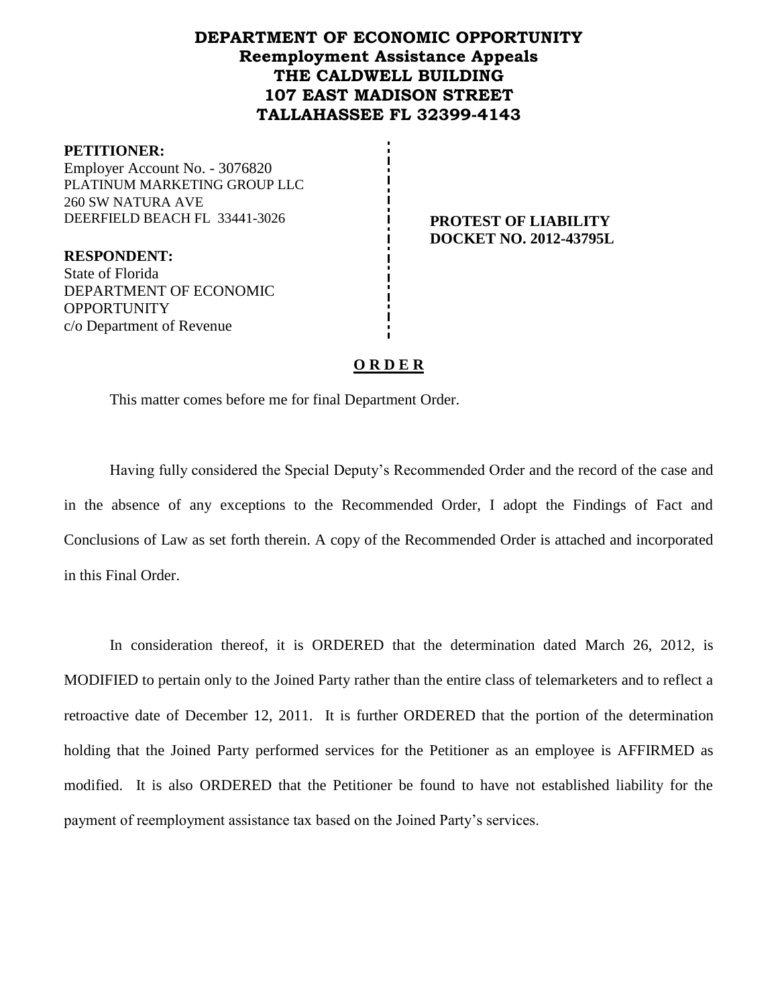# **DEPARTMENT OF ECONOMIC OPPORTUNITY Reemployment Assistance Appeals THE CALDWELL BUILDING 107 EAST MADISON STREET TALLAHASSEE FL 32399-4143**

#### **PETITIONER:**

Employer Account No. - 3076820 PLATINUM MARKETING GROUP LLC 260 SW NATURA AVE DEERFIELD BEACH FL 33441-3026 **PROTEST OF LIABILITY** 

**RESPONDENT:** State of Florida DEPARTMENT OF ECONOMIC **OPPORTUNITY** c/o Department of Revenue

**DOCKET NO. 2012-43795L**

## **O R D E R**

This matter comes before me for final Department Order.

Having fully considered the Special Deputy's Recommended Order and the record of the case and in the absence of any exceptions to the Recommended Order, I adopt the Findings of Fact and Conclusions of Law as set forth therein. A copy of the Recommended Order is attached and incorporated in this Final Order.

In consideration thereof, it is ORDERED that the determination dated March 26, 2012, is MODIFIED to pertain only to the Joined Party rather than the entire class of telemarketers and to reflect a retroactive date of December 12, 2011. It is further ORDERED that the portion of the determination holding that the Joined Party performed services for the Petitioner as an employee is AFFIRMED as modified. It is also ORDERED that the Petitioner be found to have not established liability for the payment of reemployment assistance tax based on the Joined Party's services.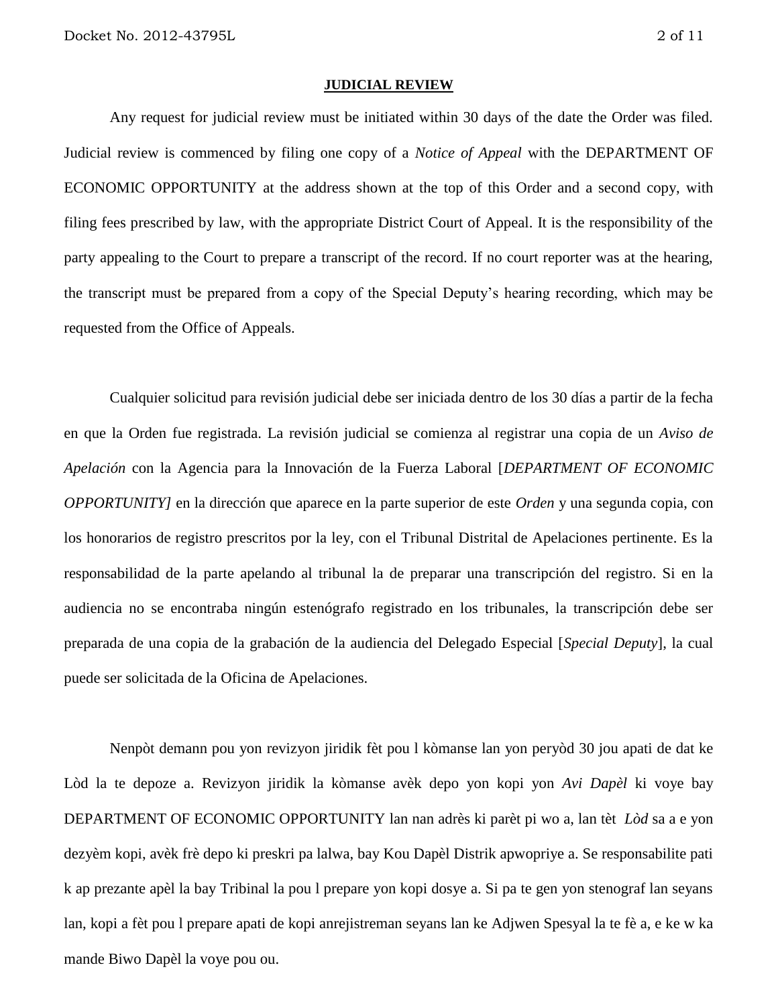#### **JUDICIAL REVIEW**

Any request for judicial review must be initiated within 30 days of the date the Order was filed. Judicial review is commenced by filing one copy of a *Notice of Appeal* with the DEPARTMENT OF ECONOMIC OPPORTUNITY at the address shown at the top of this Order and a second copy, with filing fees prescribed by law, with the appropriate District Court of Appeal. It is the responsibility of the party appealing to the Court to prepare a transcript of the record. If no court reporter was at the hearing, the transcript must be prepared from a copy of the Special Deputy's hearing recording, which may be requested from the Office of Appeals.

Cualquier solicitud para revisión judicial debe ser iniciada dentro de los 30 días a partir de la fecha en que la Orden fue registrada. La revisión judicial se comienza al registrar una copia de un *Aviso de Apelación* con la Agencia para la Innovación de la Fuerza Laboral [*DEPARTMENT OF ECONOMIC OPPORTUNITY]* en la dirección que aparece en la parte superior de este *Orden* y una segunda copia, con los honorarios de registro prescritos por la ley, con el Tribunal Distrital de Apelaciones pertinente. Es la responsabilidad de la parte apelando al tribunal la de preparar una transcripción del registro. Si en la audiencia no se encontraba ningún estenógrafo registrado en los tribunales, la transcripción debe ser preparada de una copia de la grabación de la audiencia del Delegado Especial [*Special Deputy*], la cual puede ser solicitada de la Oficina de Apelaciones.

Nenpòt demann pou yon revizyon jiridik fèt pou l kòmanse lan yon peryòd 30 jou apati de dat ke Lòd la te depoze a. Revizyon jiridik la kòmanse avèk depo yon kopi yon *Avi Dapèl* ki voye bay DEPARTMENT OF ECONOMIC OPPORTUNITY lan nan adrès ki parèt pi wo a, lan tèt *Lòd* sa a e yon dezyèm kopi, avèk frè depo ki preskri pa lalwa, bay Kou Dapèl Distrik apwopriye a. Se responsabilite pati k ap prezante apèl la bay Tribinal la pou l prepare yon kopi dosye a. Si pa te gen yon stenograf lan seyans lan, kopi a fèt pou l prepare apati de kopi anrejistreman seyans lan ke Adjwen Spesyal la te fè a, e ke w ka mande Biwo Dapèl la voye pou ou.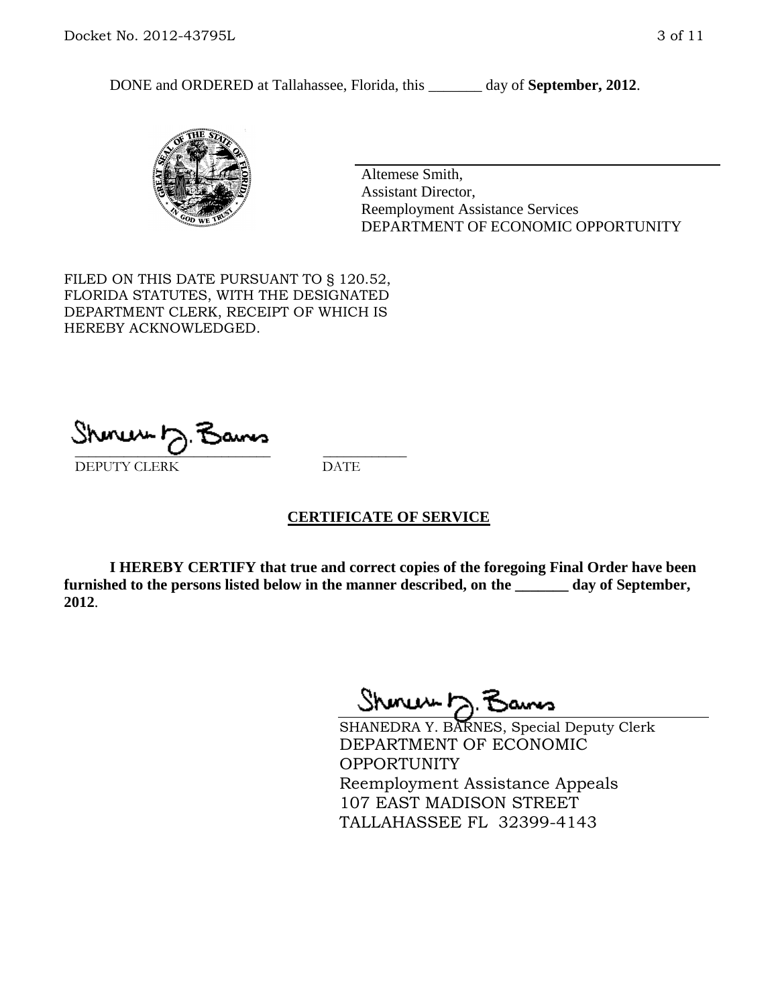DONE and ORDERED at Tallahassee, Florida, this \_\_\_\_\_\_\_ day of **September, 2012**.



Altemese Smith, Assistant Director, Reemployment Assistance Services DEPARTMENT OF ECONOMIC OPPORTUNITY

FILED ON THIS DATE PURSUANT TO § 120.52, FLORIDA STATUTES, WITH THE DESIGNATED DEPARTMENT CLERK, RECEIPT OF WHICH IS HEREBY ACKNOWLEDGED.

\_\_\_\_\_\_\_\_\_\_\_\_\_\_\_\_\_\_\_\_\_\_\_\_\_\_\_\_ \_\_\_\_\_\_\_\_\_\_\_\_ DEPUTY CLERK DATE

### **CERTIFICATE OF SERVICE**

**I HEREBY CERTIFY that true and correct copies of the foregoing Final Order have been furnished to the persons listed below in the manner described, on the \_\_\_\_\_\_\_ day of September, 2012**.

Shones b

SHANEDRA Y. BARNES, Special Deputy Clerk DEPARTMENT OF ECONOMIC **OPPORTUNITY** Reemployment Assistance Appeals 107 EAST MADISON STREET TALLAHASSEE FL 32399-4143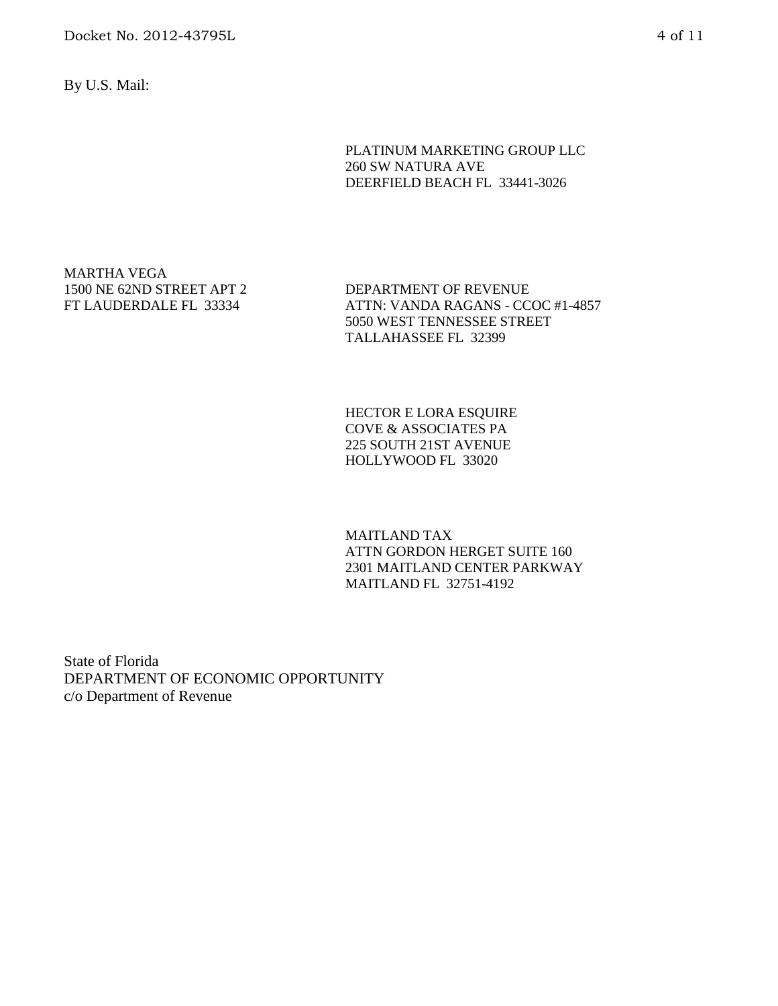By U.S. Mail:

PLATINUM MARKETING GROUP LLC 260 SW NATURA AVE DEERFIELD BEACH FL 33441-3026

MARTHA VEGA 1500 NE 62ND STREET APT 2 FT LAUDERDALE FL 33334

DEPARTMENT OF REVENUE ATTN: VANDA RAGANS - CCOC #1-4857 5050 WEST TENNESSEE STREET TALLAHASSEE FL 32399

HECTOR E LORA ESQUIRE COVE & ASSOCIATES PA 225 SOUTH 21ST AVENUE HOLLYWOOD FL 33020

MAITLAND TAX ATTN GORDON HERGET SUITE 160 2301 MAITLAND CENTER PARKWAY MAITLAND FL 32751-4192

State of Florida DEPARTMENT OF ECONOMIC OPPORTUNITY c/o Department of Revenue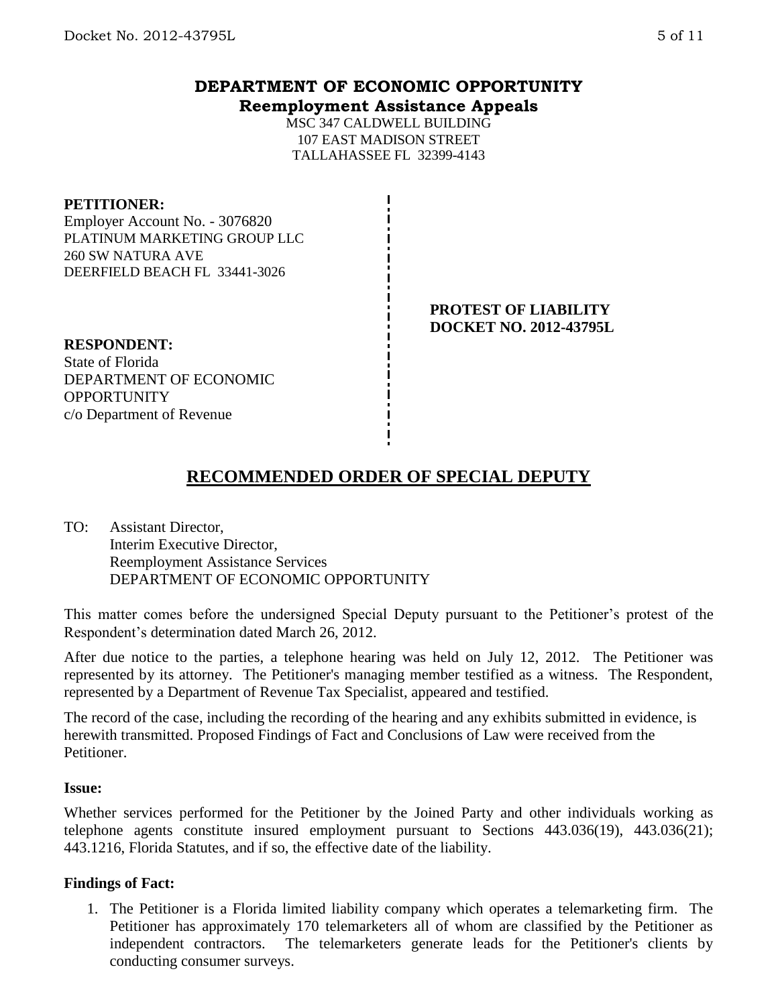## **DEPARTMENT OF ECONOMIC OPPORTUNITY Reemployment Assistance Appeals**

MSC 347 CALDWELL BUILDING 107 EAST MADISON STREET TALLAHASSEE FL 32399-4143

#### **PETITIONER:**

Employer Account No. - 3076820 PLATINUM MARKETING GROUP LLC 260 SW NATURA AVE DEERFIELD BEACH FL 33441-3026

## **PROTEST OF LIABILITY DOCKET NO. 2012-43795L**

**RESPONDENT:** State of Florida DEPARTMENT OF ECONOMIC OPPORTUNITY c/o Department of Revenue

# **RECOMMENDED ORDER OF SPECIAL DEPUTY**

TO: Assistant Director, Interim Executive Director, Reemployment Assistance Services DEPARTMENT OF ECONOMIC OPPORTUNITY

This matter comes before the undersigned Special Deputy pursuant to the Petitioner's protest of the Respondent's determination dated March 26, 2012.

After due notice to the parties, a telephone hearing was held on July 12, 2012. The Petitioner was represented by its attorney. The Petitioner's managing member testified as a witness. The Respondent, represented by a Department of Revenue Tax Specialist, appeared and testified.

The record of the case, including the recording of the hearing and any exhibits submitted in evidence, is herewith transmitted. Proposed Findings of Fact and Conclusions of Law were received from the Petitioner.

#### **Issue:**

Whether services performed for the Petitioner by the Joined Party and other individuals working as telephone agents constitute insured employment pursuant to Sections 443.036(19), 443.036(21); 443.1216, Florida Statutes, and if so, the effective date of the liability.

### **Findings of Fact:**

1. The Petitioner is a Florida limited liability company which operates a telemarketing firm. The Petitioner has approximately 170 telemarketers all of whom are classified by the Petitioner as independent contractors. The telemarketers generate leads for the Petitioner's clients by conducting consumer surveys.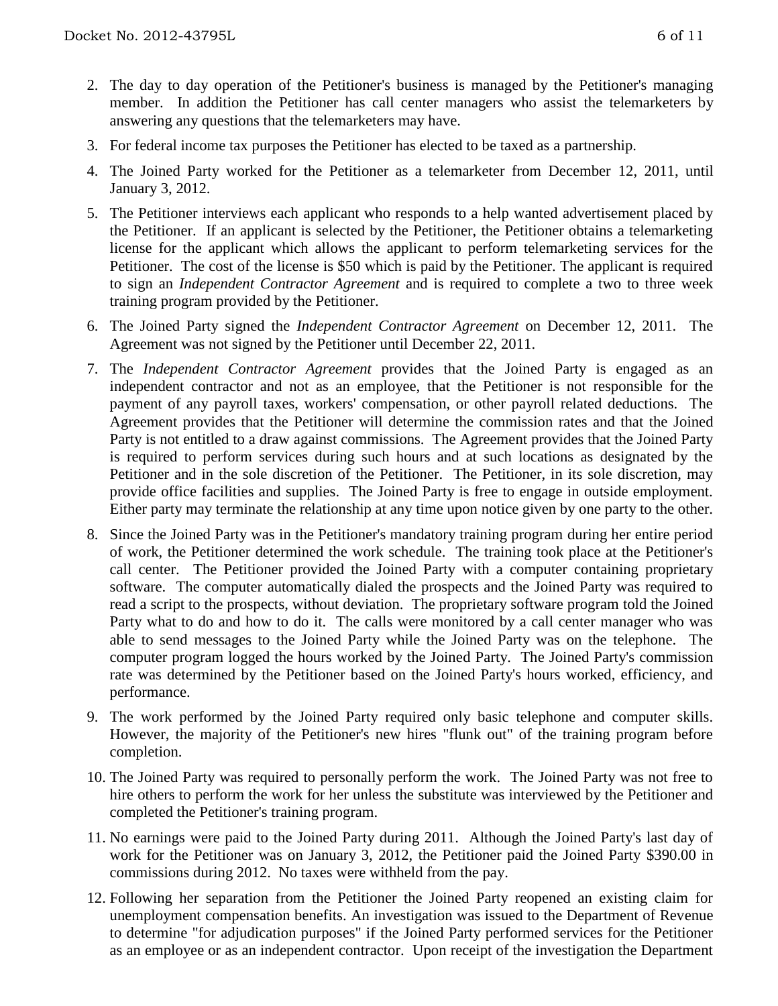- 2. The day to day operation of the Petitioner's business is managed by the Petitioner's managing member. In addition the Petitioner has call center managers who assist the telemarketers by answering any questions that the telemarketers may have.
- 3. For federal income tax purposes the Petitioner has elected to be taxed as a partnership.
- 4. The Joined Party worked for the Petitioner as a telemarketer from December 12, 2011, until January 3, 2012.
- 5. The Petitioner interviews each applicant who responds to a help wanted advertisement placed by the Petitioner. If an applicant is selected by the Petitioner, the Petitioner obtains a telemarketing license for the applicant which allows the applicant to perform telemarketing services for the Petitioner. The cost of the license is \$50 which is paid by the Petitioner. The applicant is required to sign an *Independent Contractor Agreement* and is required to complete a two to three week training program provided by the Petitioner.
- 6. The Joined Party signed the *Independent Contractor Agreement* on December 12, 2011. The Agreement was not signed by the Petitioner until December 22, 2011.
- 7. The *Independent Contractor Agreement* provides that the Joined Party is engaged as an independent contractor and not as an employee, that the Petitioner is not responsible for the payment of any payroll taxes, workers' compensation, or other payroll related deductions. The Agreement provides that the Petitioner will determine the commission rates and that the Joined Party is not entitled to a draw against commissions. The Agreement provides that the Joined Party is required to perform services during such hours and at such locations as designated by the Petitioner and in the sole discretion of the Petitioner. The Petitioner, in its sole discretion, may provide office facilities and supplies. The Joined Party is free to engage in outside employment. Either party may terminate the relationship at any time upon notice given by one party to the other.
- 8. Since the Joined Party was in the Petitioner's mandatory training program during her entire period of work, the Petitioner determined the work schedule. The training took place at the Petitioner's call center. The Petitioner provided the Joined Party with a computer containing proprietary software. The computer automatically dialed the prospects and the Joined Party was required to read a script to the prospects, without deviation. The proprietary software program told the Joined Party what to do and how to do it. The calls were monitored by a call center manager who was able to send messages to the Joined Party while the Joined Party was on the telephone. The computer program logged the hours worked by the Joined Party. The Joined Party's commission rate was determined by the Petitioner based on the Joined Party's hours worked, efficiency, and performance.
- 9. The work performed by the Joined Party required only basic telephone and computer skills. However, the majority of the Petitioner's new hires "flunk out" of the training program before completion.
- 10. The Joined Party was required to personally perform the work. The Joined Party was not free to hire others to perform the work for her unless the substitute was interviewed by the Petitioner and completed the Petitioner's training program.
- 11. No earnings were paid to the Joined Party during 2011. Although the Joined Party's last day of work for the Petitioner was on January 3, 2012, the Petitioner paid the Joined Party \$390.00 in commissions during 2012. No taxes were withheld from the pay.
- 12. Following her separation from the Petitioner the Joined Party reopened an existing claim for unemployment compensation benefits. An investigation was issued to the Department of Revenue to determine "for adjudication purposes" if the Joined Party performed services for the Petitioner as an employee or as an independent contractor. Upon receipt of the investigation the Department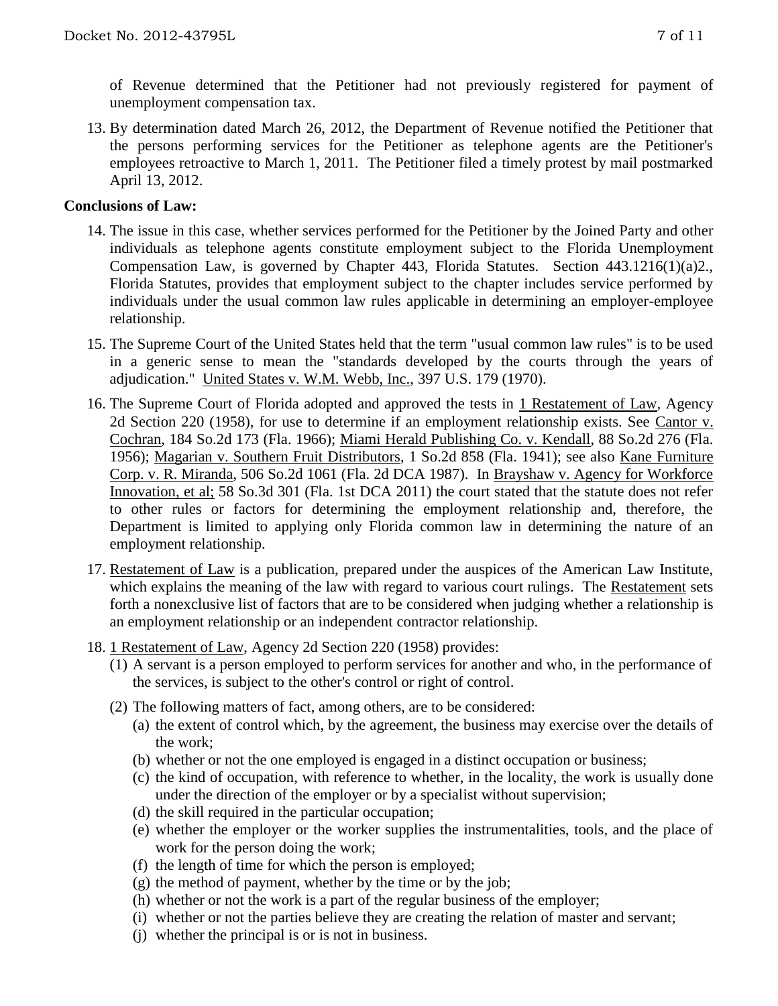of Revenue determined that the Petitioner had not previously registered for payment of unemployment compensation tax.

13. By determination dated March 26, 2012, the Department of Revenue notified the Petitioner that the persons performing services for the Petitioner as telephone agents are the Petitioner's employees retroactive to March 1, 2011. The Petitioner filed a timely protest by mail postmarked April 13, 2012.

## **Conclusions of Law:**

- 14. The issue in this case, whether services performed for the Petitioner by the Joined Party and other individuals as telephone agents constitute employment subject to the Florida Unemployment Compensation Law, is governed by Chapter 443, Florida Statutes. Section 443.1216(1)(a)2., Florida Statutes, provides that employment subject to the chapter includes service performed by individuals under the usual common law rules applicable in determining an employer-employee relationship.
- 15. The Supreme Court of the United States held that the term "usual common law rules" is to be used in a generic sense to mean the "standards developed by the courts through the years of adjudication." United States v. W.M. Webb, Inc., 397 U.S. 179 (1970).
- 16. The Supreme Court of Florida adopted and approved the tests in 1 Restatement of Law, Agency 2d Section 220 (1958), for use to determine if an employment relationship exists. See Cantor v. Cochran, 184 So.2d 173 (Fla. 1966); Miami Herald Publishing Co. v. Kendall, 88 So.2d 276 (Fla. 1956); Magarian v. Southern Fruit Distributors, 1 So.2d 858 (Fla. 1941); see also Kane Furniture Corp. v. R. Miranda, 506 So.2d 1061 (Fla. 2d DCA 1987). In Brayshaw v. Agency for Workforce Innovation, et al; 58 So.3d 301 (Fla. 1st DCA 2011) the court stated that the statute does not refer to other rules or factors for determining the employment relationship and, therefore, the Department is limited to applying only Florida common law in determining the nature of an employment relationship.
- 17. Restatement of Law is a publication, prepared under the auspices of the American Law Institute, which explains the meaning of the law with regard to various court rulings. The Restatement sets forth a nonexclusive list of factors that are to be considered when judging whether a relationship is an employment relationship or an independent contractor relationship.
- 18. 1 Restatement of Law, Agency 2d Section 220 (1958) provides:
	- (1) A servant is a person employed to perform services for another and who, in the performance of the services, is subject to the other's control or right of control.
	- (2) The following matters of fact, among others, are to be considered:
		- (a) the extent of control which, by the agreement, the business may exercise over the details of the work;
		- (b) whether or not the one employed is engaged in a distinct occupation or business;
		- (c) the kind of occupation, with reference to whether, in the locality, the work is usually done under the direction of the employer or by a specialist without supervision;
		- (d) the skill required in the particular occupation;
		- (e) whether the employer or the worker supplies the instrumentalities, tools, and the place of work for the person doing the work;
		- (f) the length of time for which the person is employed;
		- $(g)$  the method of payment, whether by the time or by the job;
		- (h) whether or not the work is a part of the regular business of the employer;
		- (i) whether or not the parties believe they are creating the relation of master and servant;
		- (j) whether the principal is or is not in business.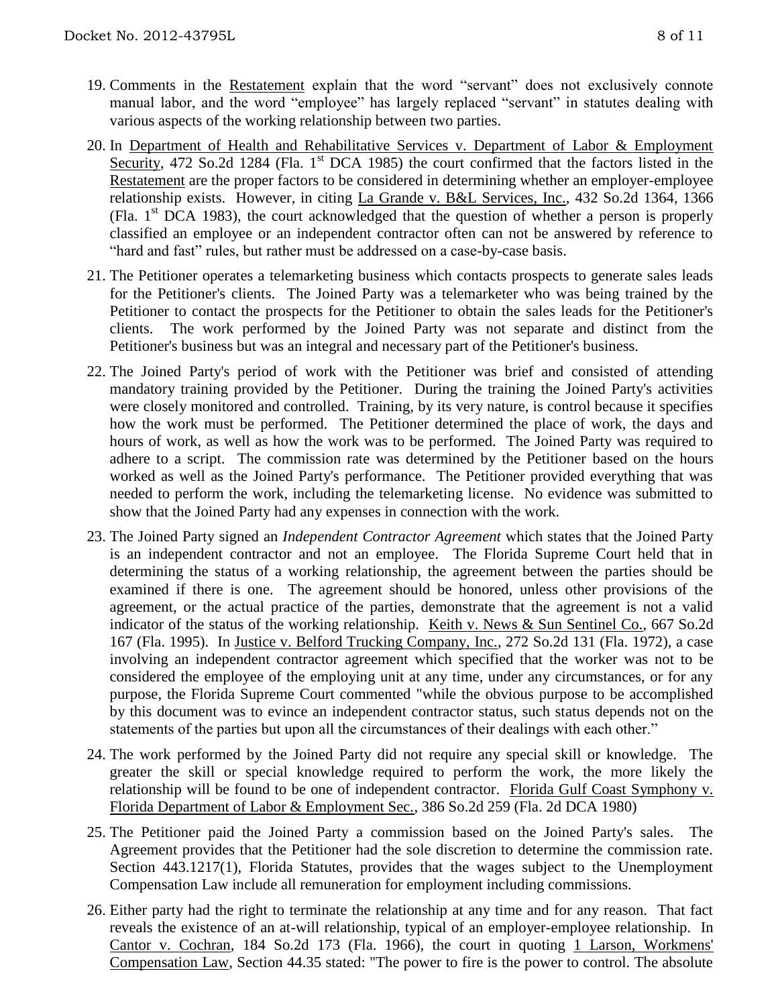- 19. Comments in the Restatement explain that the word "servant" does not exclusively connote manual labor, and the word "employee" has largely replaced "servant" in statutes dealing with various aspects of the working relationship between two parties.
- 20. In Department of Health and Rehabilitative Services v. Department of Labor & Employment Security, 472 So.2d 1284 (Fla. 1<sup>st</sup> DCA 1985) the court confirmed that the factors listed in the Restatement are the proper factors to be considered in determining whether an employer-employee relationship exists. However, in citing La Grande v. B&L Services, Inc., 432 So.2d 1364, 1366 (Fla.  $1<sup>st</sup>$  DCA 1983), the court acknowledged that the question of whether a person is properly classified an employee or an independent contractor often can not be answered by reference to "hard and fast" rules, but rather must be addressed on a case-by-case basis.
- 21. The Petitioner operates a telemarketing business which contacts prospects to generate sales leads for the Petitioner's clients. The Joined Party was a telemarketer who was being trained by the Petitioner to contact the prospects for the Petitioner to obtain the sales leads for the Petitioner's clients. The work performed by the Joined Party was not separate and distinct from the Petitioner's business but was an integral and necessary part of the Petitioner's business.
- 22. The Joined Party's period of work with the Petitioner was brief and consisted of attending mandatory training provided by the Petitioner. During the training the Joined Party's activities were closely monitored and controlled. Training, by its very nature, is control because it specifies how the work must be performed. The Petitioner determined the place of work, the days and hours of work, as well as how the work was to be performed. The Joined Party was required to adhere to a script. The commission rate was determined by the Petitioner based on the hours worked as well as the Joined Party's performance. The Petitioner provided everything that was needed to perform the work, including the telemarketing license. No evidence was submitted to show that the Joined Party had any expenses in connection with the work.
- 23. The Joined Party signed an *Independent Contractor Agreement* which states that the Joined Party is an independent contractor and not an employee. The Florida Supreme Court held that in determining the status of a working relationship, the agreement between the parties should be examined if there is one. The agreement should be honored, unless other provisions of the agreement, or the actual practice of the parties, demonstrate that the agreement is not a valid indicator of the status of the working relationship. Keith v. News & Sun Sentinel Co., 667 So.2d 167 (Fla. 1995). In Justice v. Belford Trucking Company, Inc., 272 So.2d 131 (Fla. 1972), a case involving an independent contractor agreement which specified that the worker was not to be considered the employee of the employing unit at any time, under any circumstances, or for any purpose, the Florida Supreme Court commented "while the obvious purpose to be accomplished by this document was to evince an independent contractor status, such status depends not on the statements of the parties but upon all the circumstances of their dealings with each other."
- 24. The work performed by the Joined Party did not require any special skill or knowledge. The greater the skill or special knowledge required to perform the work, the more likely the relationship will be found to be one of independent contractor. Florida Gulf Coast Symphony v. Florida Department of Labor & Employment Sec., 386 So.2d 259 (Fla. 2d DCA 1980)
- 25. The Petitioner paid the Joined Party a commission based on the Joined Party's sales. The Agreement provides that the Petitioner had the sole discretion to determine the commission rate. Section 443.1217(1), Florida Statutes, provides that the wages subject to the Unemployment Compensation Law include all remuneration for employment including commissions.
- 26. Either party had the right to terminate the relationship at any time and for any reason. That fact reveals the existence of an at-will relationship, typical of an employer-employee relationship. In Cantor v. Cochran, 184 So.2d 173 (Fla. 1966), the court in quoting 1 Larson, Workmens' Compensation Law, Section 44.35 stated: "The power to fire is the power to control. The absolute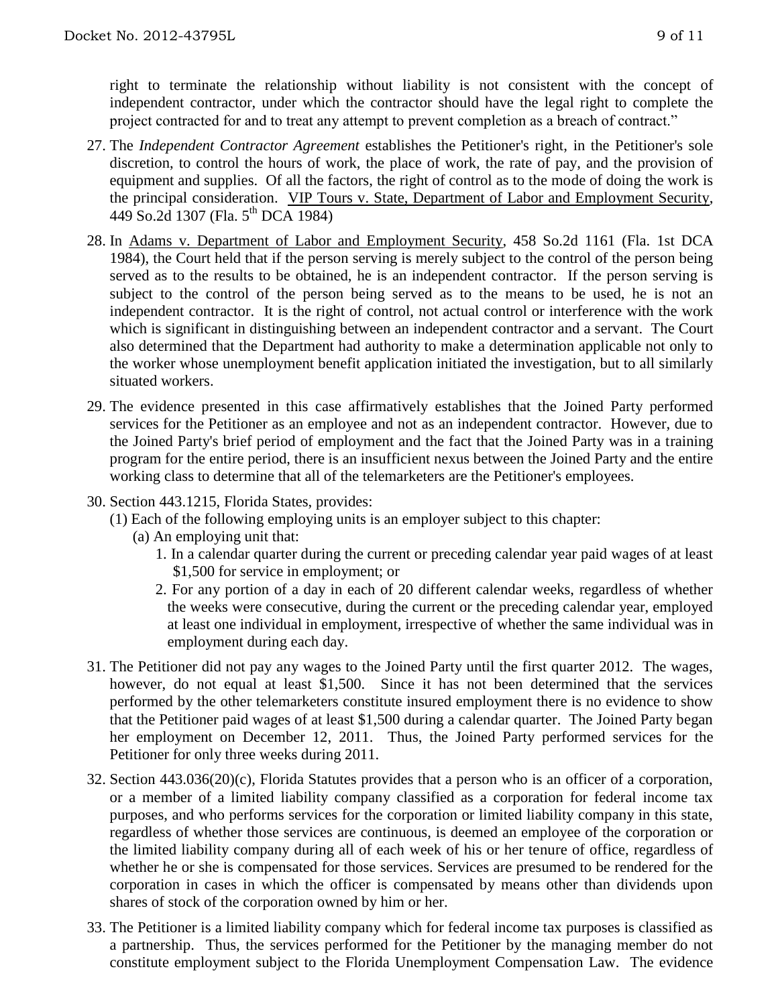right to terminate the relationship without liability is not consistent with the concept of independent contractor, under which the contractor should have the legal right to complete the project contracted for and to treat any attempt to prevent completion as a breach of contract."

- 27. The *Independent Contractor Agreement* establishes the Petitioner's right, in the Petitioner's sole discretion, to control the hours of work, the place of work, the rate of pay, and the provision of equipment and supplies. Of all the factors, the right of control as to the mode of doing the work is the principal consideration. VIP Tours v. State, Department of Labor and Employment Security, 449 So.2d 1307 (Fla. 5th DCA 1984)
- 28. In Adams v. Department of Labor and Employment Security, 458 So.2d 1161 (Fla. 1st DCA 1984), the Court held that if the person serving is merely subject to the control of the person being served as to the results to be obtained, he is an independent contractor. If the person serving is subject to the control of the person being served as to the means to be used, he is not an independent contractor. It is the right of control, not actual control or interference with the work which is significant in distinguishing between an independent contractor and a servant. The Court also determined that the Department had authority to make a determination applicable not only to the worker whose unemployment benefit application initiated the investigation, but to all similarly situated workers.
- 29. The evidence presented in this case affirmatively establishes that the Joined Party performed services for the Petitioner as an employee and not as an independent contractor. However, due to the Joined Party's brief period of employment and the fact that the Joined Party was in a training program for the entire period, there is an insufficient nexus between the Joined Party and the entire working class to determine that all of the telemarketers are the Petitioner's employees.
- 30. Section 443.1215, Florida States, provides:
	- (1) Each of the following employing units is an employer subject to this chapter:
		- (a) An employing unit that:
			- 1. In a calendar quarter during the current or preceding calendar year paid wages of at least \$1,500 for service in employment; or
			- 2. For any portion of a day in each of 20 different calendar weeks, regardless of whether the weeks were consecutive, during the current or the preceding calendar year, employed at least one individual in employment, irrespective of whether the same individual was in employment during each day.
- 31. The Petitioner did not pay any wages to the Joined Party until the first quarter 2012. The wages, however, do not equal at least \$1,500. Since it has not been determined that the services performed by the other telemarketers constitute insured employment there is no evidence to show that the Petitioner paid wages of at least \$1,500 during a calendar quarter. The Joined Party began her employment on December 12, 2011. Thus, the Joined Party performed services for the Petitioner for only three weeks during 2011.
- 32. Section 443.036(20)(c), Florida Statutes provides that a person who is an officer of a corporation, or a member of a limited liability company classified as a corporation for federal income tax purposes, and who performs services for the corporation or limited liability company in this state, regardless of whether those services are continuous, is deemed an employee of the corporation or the limited liability company during all of each week of his or her tenure of office, regardless of whether he or she is compensated for those services. Services are presumed to be rendered for the corporation in cases in which the officer is compensated by means other than dividends upon shares of stock of the corporation owned by him or her.
- 33. The Petitioner is a limited liability company which for federal income tax purposes is classified as a partnership. Thus, the services performed for the Petitioner by the managing member do not constitute employment subject to the Florida Unemployment Compensation Law. The evidence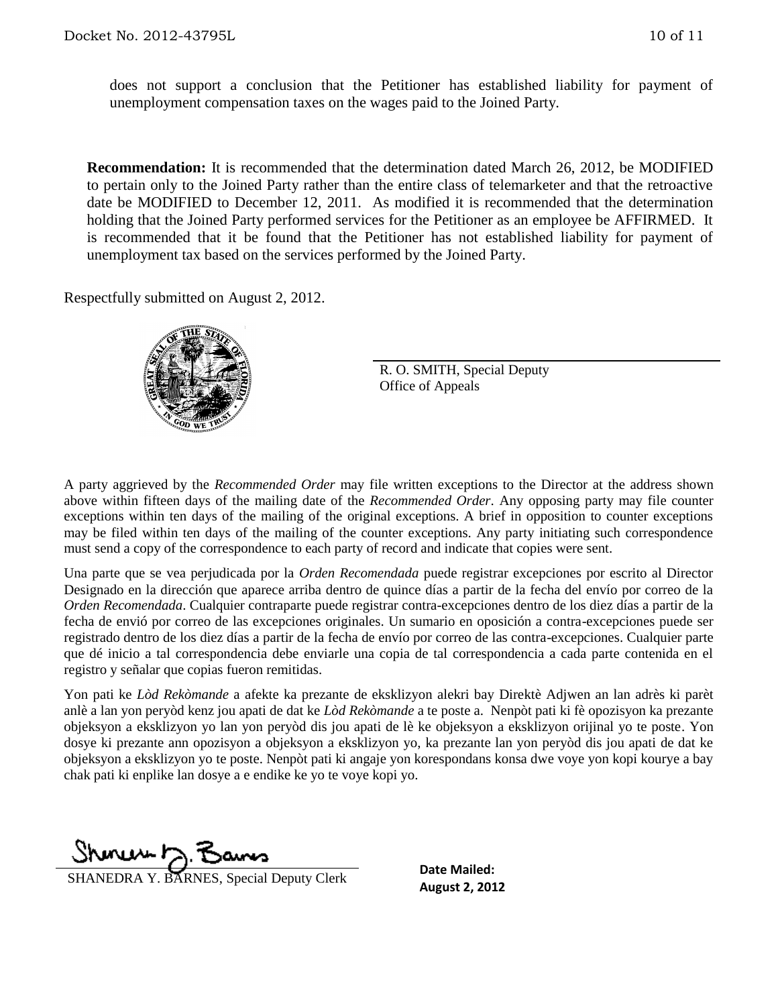does not support a conclusion that the Petitioner has established liability for payment of unemployment compensation taxes on the wages paid to the Joined Party.

**Recommendation:** It is recommended that the determination dated March 26, 2012, be MODIFIED to pertain only to the Joined Party rather than the entire class of telemarketer and that the retroactive date be MODIFIED to December 12, 2011. As modified it is recommended that the determination holding that the Joined Party performed services for the Petitioner as an employee be AFFIRMED. It is recommended that it be found that the Petitioner has not established liability for payment of unemployment tax based on the services performed by the Joined Party.

Respectfully submitted on August 2, 2012.



R. O. SMITH, Special Deputy Office of Appeals

A party aggrieved by the *Recommended Order* may file written exceptions to the Director at the address shown above within fifteen days of the mailing date of the *Recommended Order*. Any opposing party may file counter exceptions within ten days of the mailing of the original exceptions. A brief in opposition to counter exceptions may be filed within ten days of the mailing of the counter exceptions. Any party initiating such correspondence must send a copy of the correspondence to each party of record and indicate that copies were sent.

Una parte que se vea perjudicada por la *Orden Recomendada* puede registrar excepciones por escrito al Director Designado en la dirección que aparece arriba dentro de quince días a partir de la fecha del envío por correo de la *Orden Recomendada*. Cualquier contraparte puede registrar contra-excepciones dentro de los diez días a partir de la fecha de envió por correo de las excepciones originales. Un sumario en oposición a contra-excepciones puede ser registrado dentro de los diez días a partir de la fecha de envío por correo de las contra-excepciones. Cualquier parte que dé inicio a tal correspondencia debe enviarle una copia de tal correspondencia a cada parte contenida en el registro y señalar que copias fueron remitidas.

Yon pati ke *Lòd Rekòmande* a afekte ka prezante de eksklizyon alekri bay Direktè Adjwen an lan adrès ki parèt anlè a lan yon peryòd kenz jou apati de dat ke *Lòd Rekòmande* a te poste a. Nenpòt pati ki fè opozisyon ka prezante objeksyon a eksklizyon yo lan yon peryòd dis jou apati de lè ke objeksyon a eksklizyon orijinal yo te poste. Yon dosye ki prezante ann opozisyon a objeksyon a eksklizyon yo, ka prezante lan yon peryòd dis jou apati de dat ke objeksyon a eksklizyon yo te poste. Nenpòt pati ki angaje yon korespondans konsa dwe voye yon kopi kourye a bay chak pati ki enplike lan dosye a e endike ke yo te voye kopi yo.

Shinus F

**SHANEDRA Y. BARNES, Special Deputy Clerk Example 2, 2012** 

**Date Mailed:**